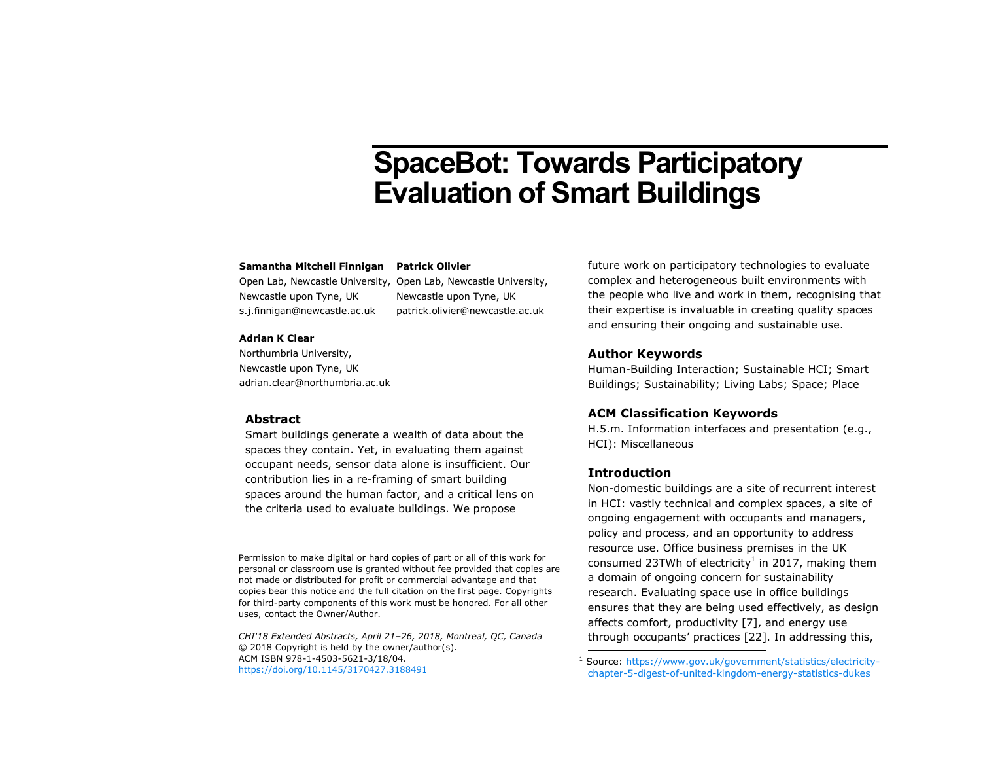# **SpaceBot: Towards Participatory Evaluation of Smart Buildings**

#### **Samantha Mitchell Finnigan Patrick Olivier**

Newcastle upon Tyne, UK s.j.finnigan@newcastle.ac.uk

Open Lab, Newcastle University, Open Lab, Newcastle University, Newcastle upon Tyne, UK patrick.olivier@newcastle.ac.uk

#### **Adrian K Clear**

Northumbria University, Newcastle upon Tyne, UK adrian.clear@northumbria.ac.uk

#### **Abstract**

Smart buildings generate a wealth of data about the spaces they contain. Yet, in evaluating them against occupant needs, sensor data alone is insufficient. Our contribution lies in a re-framing of smart building spaces around the human factor, and a critical lens on the criteria used to evaluate buildings. We propose

Permission to make digital or hard copies of part or all of this work for personal or classroom use is granted without fee provided that copies are not made or distributed for profit or commercial advantage and that copies bear this notice and the full citation on the first page. Copyrights for third-party components of this work must be honored. For all other uses, contact the Owner/Author.

*CHI'18 Extended Abstracts, April 21–26, 2018, Montreal, QC, Canada* © 2018 Copyright is held by the owner/author(s). ACM ISBN 978-1-4503-5621-3/18/04. <https://doi.org/10.1145/3170427.3188491>

future work on participatory technologies to evaluate complex and heterogeneous built environments with the people who live and work in them, recognising that their expertise is invaluable in creating quality spaces and ensuring their ongoing and sustainable use.

### **Author Keywords**

Human-Building Interaction; Sustainable HCI; Smart Buildings; Sustainability; Living Labs; Space; Place

## **ACM Classification Keywords**

H.5.m. Information interfaces and presentation (e.g., HCI): Miscellaneous

## **Introduction**

ł

Non-domestic buildings are a site of recurrent interest in HCI: vastly technical and complex spaces, a site of ongoing engagement with occupants and managers, policy and process, and an opportunity to address resource use. Office business premises in the UK consumed 23TWh of electricity<sup>1</sup> in 2017, making them a domain of ongoing concern for sustainability research. Evaluating space use in office buildings ensures that they are being used effectively, as design affects comfort, productivity [7], and energy use through occupants' practices [22]. In addressing this,

<sup>1</sup> Source: [https://www.gov.uk/government/statistics/electricity](https://www.gov.uk/government/statistics/electricity-chapter-5-digest-of-united-kingdom-energy-statistics-dukes)[chapter-5-digest-of-united-kingdom-energy-statistics-dukes](https://www.gov.uk/government/statistics/electricity-chapter-5-digest-of-united-kingdom-energy-statistics-dukes)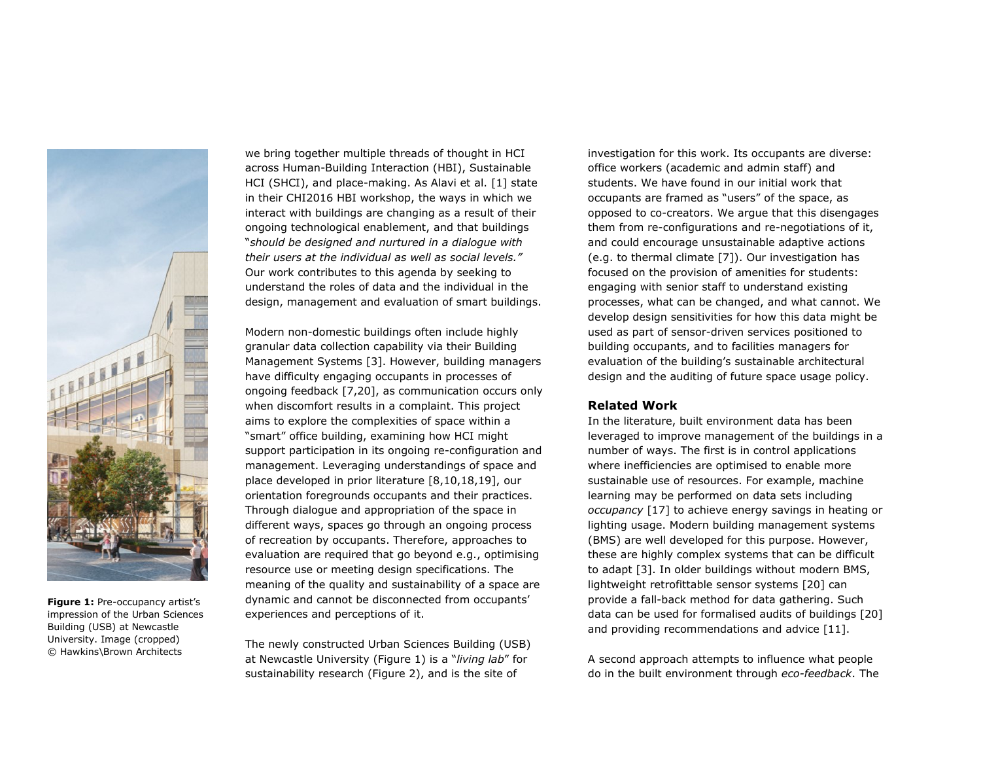

**Figure 1: Pre-occupancy artist's** impression of the Urban Sciences Building (USB) at Newcastle University. Image (cropped) © Hawkins\Brown Architects

we bring together multiple threads of thought in HCI across Human-Building Interaction (HBI), Sustainable HCI (SHCI), and place-making. As Alavi et al. [1] state in their CHI2016 HBI workshop, the ways in which we interact with buildings are changing as a result of their ongoing technological enablement, and that buildings "*should be designed and nurtured in a dialogue with their users at the individual as well as social levels."*  Our work contributes to this agenda by seeking to understand the roles of data and the individual in the design, management and evaluation of smart buildings.

Modern non-domestic buildings often include highly granular data collection capability via their Building Management Systems [3]. However, building managers have difficulty engaging occupants in processes of ongoing feedback [7,20], as communication occurs only when discomfort results in a complaint. This project aims to explore the complexities of space within a "smart" office building, examining how HCI might support participation in its ongoing re-configuration and management. Leveraging understandings of space and place developed in prior literature [8,10,18,19], our orientation foregrounds occupants and their practices. Through dialogue and appropriation of the space in different ways, spaces go through an ongoing process of recreation by occupants. Therefore, approaches to evaluation are required that go beyond e.g., optimising resource use or meeting design specifications. The meaning of the quality and sustainability of a space are dynamic and cannot be disconnected from occupants' experiences and perceptions of it.

The newly constructed Urban Sciences Building (USB) at Newcastle University (Figure 1) is a "*living lab*" for sustainability research (Figure 2), and is the site of

investigation for this work. Its occupants are diverse: office workers (academic and admin staff) and students. We have found in our initial work that occupants are framed as "users" of the space, as opposed to co-creators. We argue that this disengages them from re-configurations and re-negotiations of it, and could encourage unsustainable adaptive actions (e.g. to thermal climate [7]). Our investigation has focused on the provision of amenities for students: engaging with senior staff to understand existing processes, what can be changed, and what cannot. We develop design sensitivities for how this data might be used as part of sensor-driven services positioned to building occupants, and to facilities managers for evaluation of the building's sustainable architectural design and the auditing of future space usage policy.

#### **Related Work**

In the literature, built environment data has been leveraged to improve management of the buildings in a number of ways. The first is in control applications where inefficiencies are optimised to enable more sustainable use of resources. For example, machine learning may be performed on data sets including *occupancy* [17] to achieve energy savings in heating or lighting usage. Modern building management systems (BMS) are well developed for this purpose. However, these are highly complex systems that can be difficult to adapt [3]. In older buildings without modern BMS, lightweight retrofittable sensor systems [20] can provide a fall-back method for data gathering. Such data can be used for formalised audits of buildings [20] and providing recommendations and advice [11].

A second approach attempts to influence what people do in the built environment through *eco-feedback*. The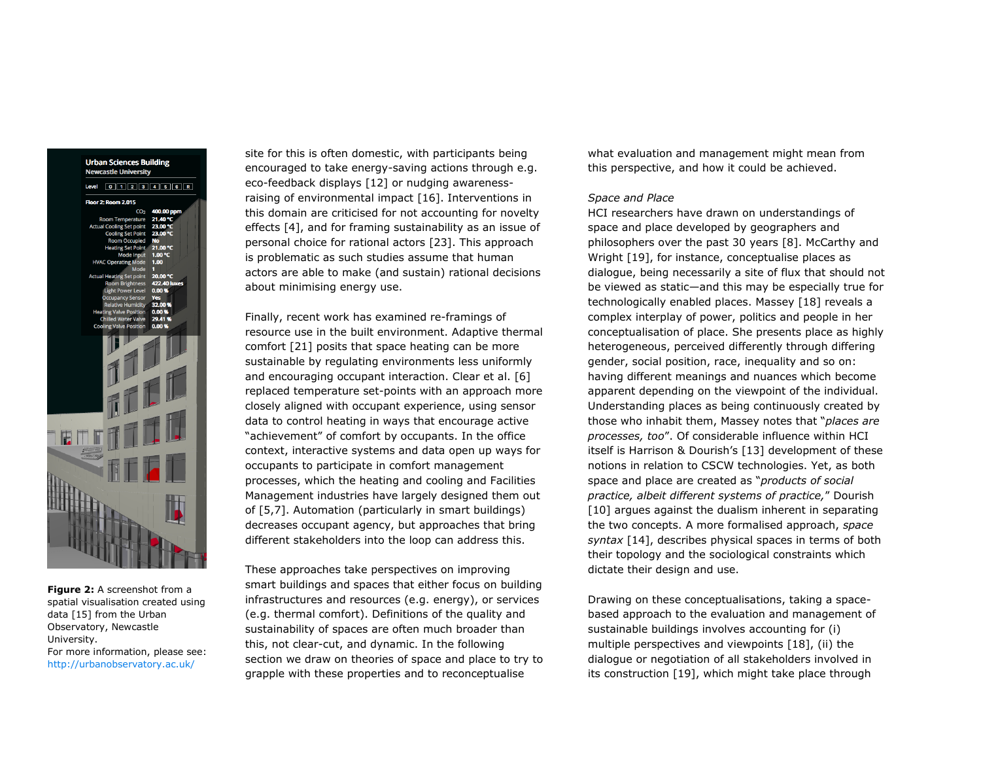## **Urban Sciences Building Newcastle University** Level  $G$  1 2 3 4 5 6 R **Floor 2: Room 2 015**  $CO<sub>2</sub>$  400.00 ppm Room Temperature 21.40 °C Actual Cooling Set point 23.00 °C Cooling Set Point 23.00 °C ccupied ting Set Point 21.00 °C 1.00 °C **Mode Input** 1.00 tual Heating Set point 20.00 °C 422.40 ver Level 0.00 % Sensor Yes 32.00 %  $0.00%$ led Water Valve 29.41 % Cooling Valve Position 0.00 %

**Figure 2:** A screenshot from a spatial visualisation created using data [15] from the Urban Observatory, Newcastle University. For more information, please see: <http://urbanobservatory.ac.uk/>

site for this is often domestic, with participants being encouraged to take energy-saving actions through e.g. eco-feedback displays [12] or nudging awarenessraising of environmental impact [16]. Interventions in this domain are criticised for not accounting for novelty effects [4], and for framing sustainability as an issue of personal choice for rational actors [23]. This approach is problematic as such studies assume that human actors are able to make (and sustain) rational decisions about minimising energy use.

Finally, recent work has examined re-framings of resource use in the built environment. Adaptive thermal comfort [21] posits that space heating can be more sustainable by regulating environments less uniformly and encouraging occupant interaction. Clear et al. [6] replaced temperature set-points with an approach more closely aligned with occupant experience, using sensor data to control heating in ways that encourage active "achievement" of comfort by occupants. In the office context, interactive systems and data open up ways for occupants to participate in comfort management processes, which the heating and cooling and Facilities Management industries have largely designed them out of [5,7]. Automation (particularly in smart buildings) decreases occupant agency, but approaches that bring different stakeholders into the loop can address this.

These approaches take perspectives on improving smart buildings and spaces that either focus on building infrastructures and resources (e.g. energy), or services (e.g. thermal comfort). Definitions of the quality and sustainability of spaces are often much broader than this, not clear-cut, and dynamic. In the following section we draw on theories of space and place to try to grapple with these properties and to reconceptualise

what evaluation and management might mean from this perspective, and how it could be achieved.

#### *Space and Place*

HCI researchers have drawn on understandings of space and place developed by geographers and philosophers over the past 30 years [8]. McCarthy and Wright [19], for instance, conceptualise places as dialogue, being necessarily a site of flux that should not be viewed as static—and this may be especially true for technologically enabled places. Massey [18] reveals a complex interplay of power, politics and people in her conceptualisation of place. She presents place as highly heterogeneous, perceived differently through differing gender, social position, race, inequality and so on: having different meanings and nuances which become apparent depending on the viewpoint of the individual. Understanding places as being continuously created by those who inhabit them, Massey notes that "*places are processes, too*". Of considerable influence within HCI itself is Harrison & Dourish's [13] development of these notions in relation to CSCW technologies. Yet, as both space and place are created as "*products of social practice, albeit different systems of practice,*" Dourish [10] argues against the dualism inherent in separating the two concepts. A more formalised approach, *space syntax* [14], describes physical spaces in terms of both their topology and the sociological constraints which dictate their design and use.

Drawing on these conceptualisations, taking a spacebased approach to the evaluation and management of sustainable buildings involves accounting for (i) multiple perspectives and viewpoints [18], (ii) the dialogue or negotiation of all stakeholders involved in its construction [19], which might take place through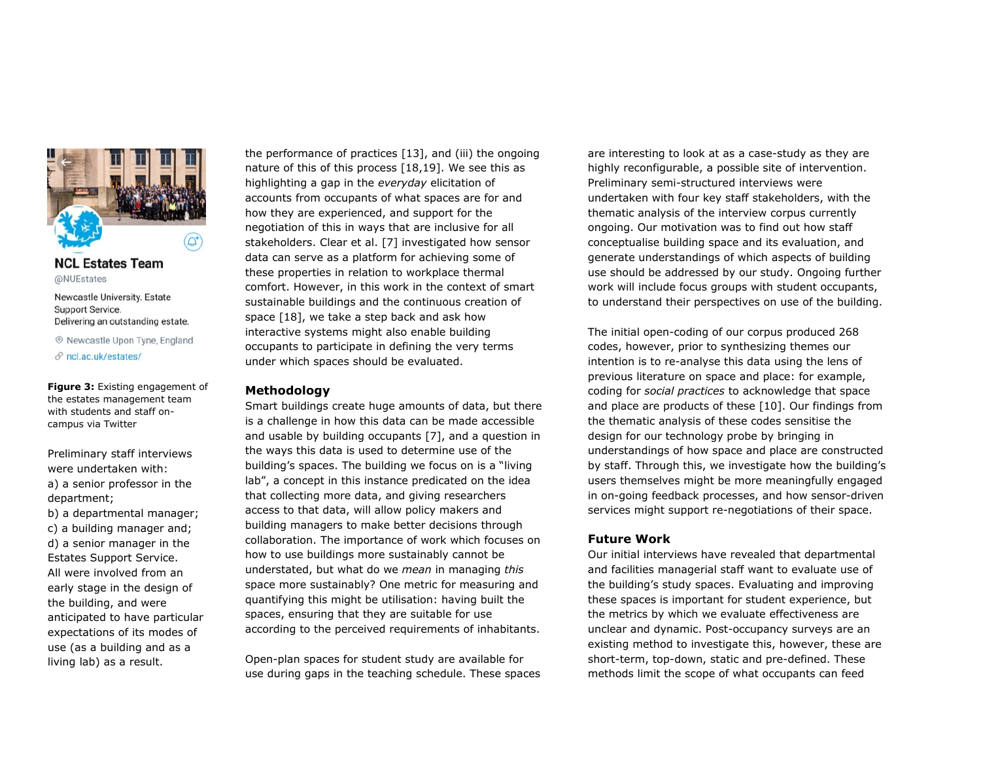

## **NCL Estates Team** @NUEstates Newcastle University. Estate

Support Service. Delivering an outstanding estate.

© Newcastle Upon Tyne, England  $\mathcal{S}$  ncl.ac.uk/estates/

**Figure 3:** Existing engagement of the estates management team with students and staff oncampus via Twitter

Preliminary staff interviews were undertaken with: a) a senior professor in the department;

b) a departmental manager; c) a building manager and; d) a senior manager in the Estates Support Service. All were involved from an early stage in the design of the building, and were anticipated to have particular expectations of its modes of use (as a building and as a living lab) as a result.

the performance of practices [13], and (iii) the ongoing nature of this of this process [18,19]. We see this as highlighting a gap in the *everyday* elicitation of accounts from occupants of what spaces are for and how they are experienced, and support for the negotiation of this in ways that are inclusive for all stakeholders. Clear et al. [7] investigated how sensor data can serve as a platform for achieving some of these properties in relation to workplace thermal comfort. However, in this work in the context of smart sustainable buildings and the continuous creation of space [18], we take a step back and ask how interactive systems might also enable building occupants to participate in defining the very terms under which spaces should be evaluated.

## **Methodology**

Smart buildings create huge amounts of data, but there is a challenge in how this data can be made accessible and usable by building occupants [7], and a question in the ways this data is used to determine use of the building's spaces. The building we focus on is a "living lab", a concept in this instance predicated on the idea that collecting more data, and giving researchers access to that data, will allow policy makers and building managers to make better decisions through collaboration. The importance of work which focuses on how to use buildings more sustainably cannot be understated, but what do we *mean* in managing *this* space more sustainably? One metric for measuring and quantifying this might be utilisation: having built the spaces, ensuring that they are suitable for use according to the perceived requirements of inhabitants.

Open-plan spaces for student study are available for use during gaps in the teaching schedule. These spaces

are interesting to look at as a case-study as they are highly reconfigurable, a possible site of intervention. Preliminary semi-structured interviews were undertaken with four key staff stakeholders, with the thematic analysis of the interview corpus currently ongoing. Our motivation was to find out how staff conceptualise building space and its evaluation, and generate understandings of which aspects of building use should be addressed by our study. Ongoing further work will include focus groups with student occupants, to understand their perspectives on use of the building.

The initial open-coding of our corpus produced 268 codes, however, prior to synthesizing themes our intention is to re-analyse this data using the lens of previous literature on space and place: for example, coding for *social practices* to acknowledge that space and place are products of these [10]. Our findings from the thematic analysis of these codes sensitise the design for our technology probe by bringing in understandings of how space and place are constructed by staff. Through this, we investigate how the building's users themselves might be more meaningfully engaged in on-going feedback processes, and how sensor-driven services might support re-negotiations of their space.

## **Future Work**

Our initial interviews have revealed that departmental and facilities managerial staff want to evaluate use of the building's study spaces. Evaluating and improving these spaces is important for student experience, but the metrics by which we evaluate effectiveness are unclear and dynamic. Post-occupancy surveys are an existing method to investigate this, however, these are short-term, top-down, static and pre-defined. These methods limit the scope of what occupants can feed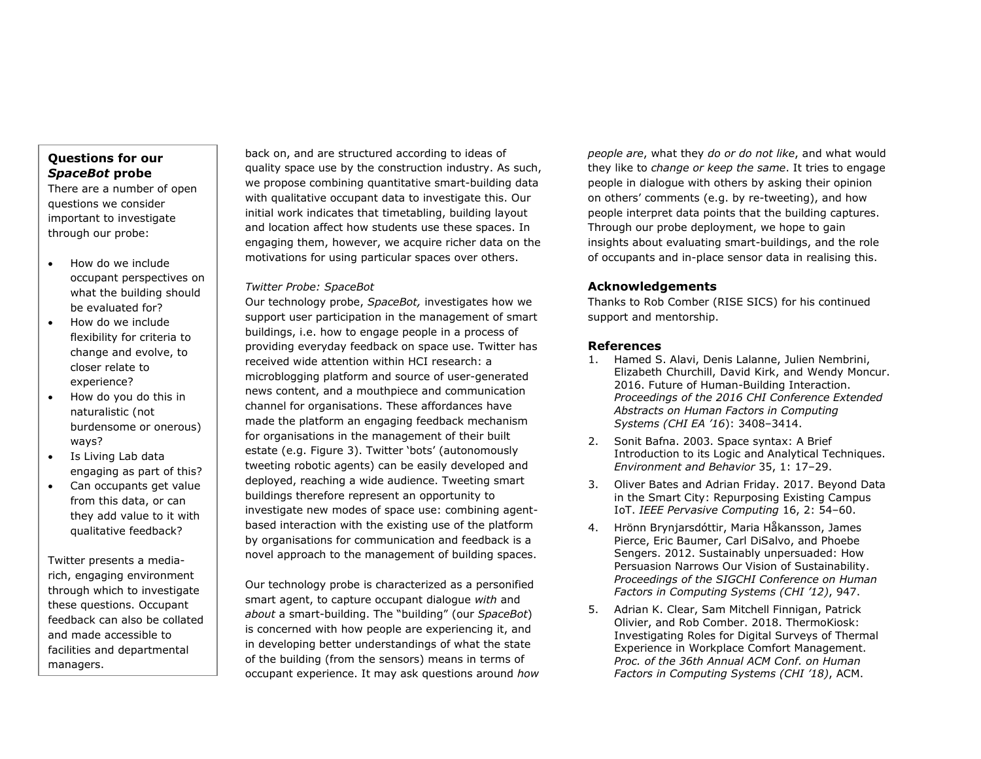## **Questions for our**  *SpaceBot* **probe**

There are a number of open questions we consider important to investigate through our probe:

- How do we include occupant perspectives on what the building should be evaluated for?
- How do we include flexibility for criteria to change and evolve, to closer relate to experience?
- How do you do this in naturalistic (not burdensome or onerous) ways?
- Is Living Lab data engaging as part of this?
- Can occupants get value from this data, or can they add value to it with qualitative feedback?

Twitter presents a mediarich, engaging environment through which to investigate these questions. Occupant feedback can also be collated and made accessible to facilities and departmental managers.

back on, and are structured according to ideas of quality space use by the construction industry. As such, we propose combining quantitative smart-building data with qualitative occupant data to investigate this. Our initial work indicates that timetabling, building layout and location affect how students use these spaces. In engaging them, however, we acquire richer data on the motivations for using particular spaces over others.

#### *Twitter Probe: SpaceBot*

Our technology probe, *SpaceBot,* investigates how we support user participation in the management of smart buildings, i.e. how to engage people in a process of providing everyday feedback on space use. Twitter has received wide attention within HCI research: a microblogging platform and source of user-generated news content, and a mouthpiece and communication channel for organisations. These affordances have made the platform an engaging feedback mechanism for organisations in the management of their built estate (e.g. Figure 3). Twitter 'bots' (autonomously tweeting robotic agents) can be easily developed and deployed, reaching a wide audience. Tweeting smart buildings therefore represent an opportunity to investigate new modes of space use: combining agentbased interaction with the existing use of the platform by organisations for communication and feedback is a novel approach to the management of building spaces.

Our technology probe is characterized as a personified smart agent, to capture occupant dialogue *with* and *about* a smart-building. The "building" (our *SpaceBot*) is concerned with how people are experiencing it, and in developing better understandings of what the state of the building (from the sensors) means in terms of occupant experience. It may ask questions around *how* 

*people are*, what they *do or do not like*, and what would they like to *change or keep the same*. It tries to engage people in dialogue with others by asking their opinion on others' comments (e.g. by re-tweeting), and how people interpret data points that the building captures. Through our probe deployment, we hope to gain insights about evaluating smart-buildings, and the role of occupants and in-place sensor data in realising this.

## **Acknowledgements**

Thanks to Rob Comber (RISE SICS) for his continued support and mentorship.

## **References**

- 1. Hamed S. Alavi, Denis Lalanne, Julien Nembrini, Elizabeth Churchill, David Kirk, and Wendy Moncur. 2016. Future of Human-Building Interaction. *Proceedings of the 2016 CHI Conference Extended Abstracts on Human Factors in Computing Systems (CHI EA '16*): 3408–3414.
- 2. Sonit Bafna. 2003. Space syntax: A Brief Introduction to its Logic and Analytical Techniques. *Environment and Behavior* 35, 1: 17–29.
- 3. Oliver Bates and Adrian Friday. 2017. Beyond Data in the Smart City: Repurposing Existing Campus IoT. *IEEE Pervasive Computing* 16, 2: 54–60.
- 4. Hrönn Brynjarsdóttir, Maria Håkansson, James Pierce, Eric Baumer, Carl DiSalvo, and Phoebe Sengers. 2012. Sustainably unpersuaded: How Persuasion Narrows Our Vision of Sustainability. *Proceedings of the SIGCHI Conference on Human Factors in Computing Systems (CHI '12)*, 947.
- 5. Adrian K. Clear, Sam Mitchell Finnigan, Patrick Olivier, and Rob Comber. 2018. ThermoKiosk: Investigating Roles for Digital Surveys of Thermal Experience in Workplace Comfort Management. *Proc. of the 36th Annual ACM Conf. on Human Factors in Computing Systems (CHI '18)*, ACM.